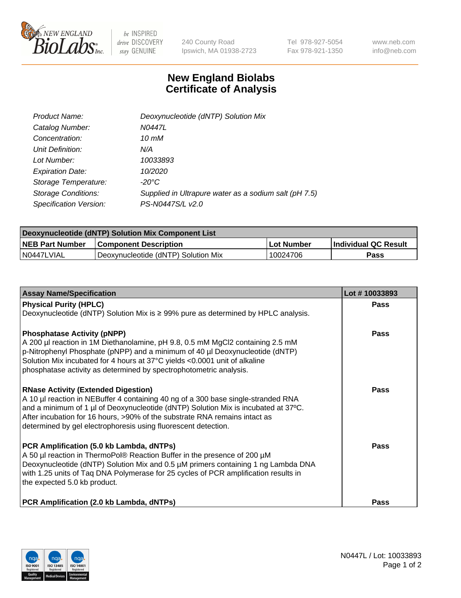

 $be$  INSPIRED drive DISCOVERY stay GENUINE

240 County Road Ipswich, MA 01938-2723 Tel 978-927-5054 Fax 978-921-1350 www.neb.com info@neb.com

## **New England Biolabs Certificate of Analysis**

| Product Name:              | Deoxynucleotide (dNTP) Solution Mix                   |
|----------------------------|-------------------------------------------------------|
| Catalog Number:            | N0447L                                                |
| Concentration:             | 10 mM                                                 |
| Unit Definition:           | N/A                                                   |
| Lot Number:                | 10033893                                              |
| <b>Expiration Date:</b>    | 10/2020                                               |
| Storage Temperature:       | $-20^{\circ}$ C                                       |
| <b>Storage Conditions:</b> | Supplied in Ultrapure water as a sodium salt (pH 7.5) |
| Specification Version:     | PS-N0447S/L v2.0                                      |

| Deoxynucleotide (dNTP) Solution Mix Component List |                                     |             |                      |  |  |
|----------------------------------------------------|-------------------------------------|-------------|----------------------|--|--|
| <b>NEB Part Number</b>                             | <b>Component Description</b>        | ∣Lot Number | Individual QC Result |  |  |
| IN0447LVIAL                                        | Deoxynucleotide (dNTP) Solution Mix | 10024706    | Pass                 |  |  |

| <b>Assay Name/Specification</b>                                                                                                                                          | Lot #10033893 |
|--------------------------------------------------------------------------------------------------------------------------------------------------------------------------|---------------|
| <b>Physical Purity (HPLC)</b>                                                                                                                                            | Pass          |
| Deoxynucleotide (dNTP) Solution Mix is ≥ 99% pure as determined by HPLC analysis.                                                                                        |               |
| <b>Phosphatase Activity (pNPP)</b>                                                                                                                                       | Pass          |
| A 200 µl reaction in 1M Diethanolamine, pH 9.8, 0.5 mM MgCl2 containing 2.5 mM                                                                                           |               |
| p-Nitrophenyl Phosphate (pNPP) and a minimum of 40 µl Deoxynucleotide (dNTP)<br>Solution Mix incubated for 4 hours at 37°C yields <0.0001 unit of alkaline               |               |
| phosphatase activity as determined by spectrophotometric analysis.                                                                                                       |               |
| <b>RNase Activity (Extended Digestion)</b>                                                                                                                               | <b>Pass</b>   |
| A 10 µl reaction in NEBuffer 4 containing 40 ng of a 300 base single-stranded RNA                                                                                        |               |
| and a minimum of 1 µl of Deoxynucleotide (dNTP) Solution Mix is incubated at 37°C.<br>After incubation for 16 hours, >90% of the substrate RNA remains intact as         |               |
| determined by gel electrophoresis using fluorescent detection.                                                                                                           |               |
| PCR Amplification (5.0 kb Lambda, dNTPs)                                                                                                                                 | <b>Pass</b>   |
| A 50 µl reaction in ThermoPol® Reaction Buffer in the presence of 200 µM                                                                                                 |               |
| Deoxynucleotide (dNTP) Solution Mix and 0.5 µM primers containing 1 ng Lambda DNA<br>with 1.25 units of Taq DNA Polymerase for 25 cycles of PCR amplification results in |               |
| the expected 5.0 kb product.                                                                                                                                             |               |
| PCR Amplification (2.0 kb Lambda, dNTPs)                                                                                                                                 | <b>Pass</b>   |
|                                                                                                                                                                          |               |